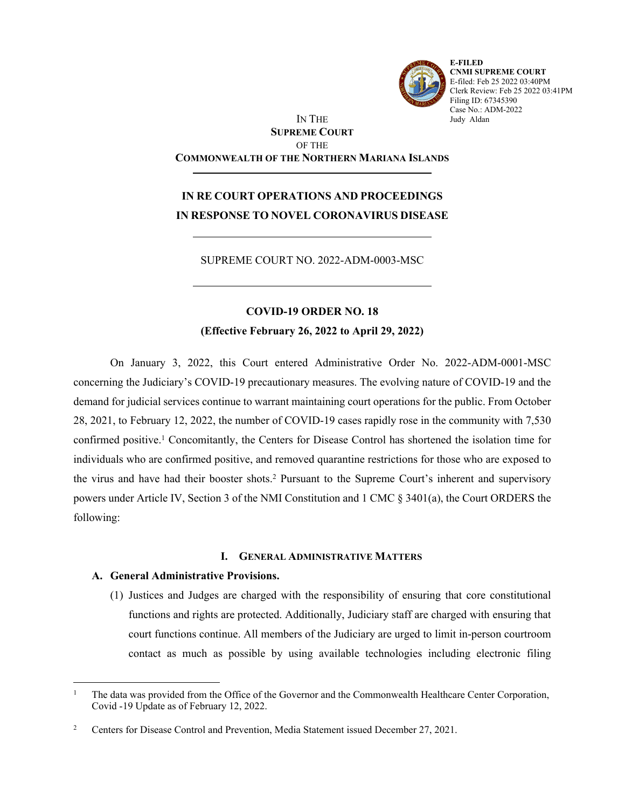

**E-FILED CNMI SUPREME COURT** E-filed: Feb 25 2022 03:40PM Clerk Review: Feb 25 2022 03:41PM Filing ID: 67345390 Case No.: ADM-2022 Judy Aldan

## IN THE **SUPREME COURT** OF THE **COMMONWEALTH OF THE NORTHERN MARIANA ISLANDS**

# **IN RE COURT OPERATIONS AND PROCEEDINGS IN RESPONSE TO NOVEL CORONAVIRUS DISEASE**

SUPREME COURT NO. 2022-ADM-0003-MSC

## **COVID-19 ORDER NO. 18**

**(Effective February 26, 2022 to April 29, 2022)**

On January 3, 2022, this Court entered Administrative Order No. 2022-ADM-0001-MSC concerning the Judiciary's COVID-19 precautionary measures. The evolving nature of COVID-19 and the demand for judicial services continue to warrant maintaining court operations for the public. From October 28, 2021, to February 12, 2022, the number of COVID-19 cases rapidly rose in the community with 7,530 confirmed positive.<sup>1</sup> Concomitantly, the Centers for Disease Control has shortened the isolation time for individuals who are confirmed positive, and removed quarantine restrictions for those who are exposed to the virus and have had their booster shots.<sup>2</sup> Pursuant to the Supreme Court's inherent and supervisory powers under Article IV, Section 3 of the NMI Constitution and 1 CMC § 3401(a), the Court ORDERS the following:

## **I. GENERAL ADMINISTRATIVE MATTERS**

## **A. General Administrative Provisions.**

(1) Justices and Judges are charged with the responsibility of ensuring that core constitutional functions and rights are protected. Additionally, Judiciary staff are charged with ensuring that court functions continue. All members of the Judiciary are urged to limit in-person courtroom contact as much as possible by using available technologies including electronic filing

<sup>1</sup> The data was provided from the Office of the Governor and the Commonwealth Healthcare Center Corporation, Covid -19 Update as of February 12, 2022.

<sup>2</sup> Centers for Disease Control and Prevention, Media Statement issued December 27, 2021.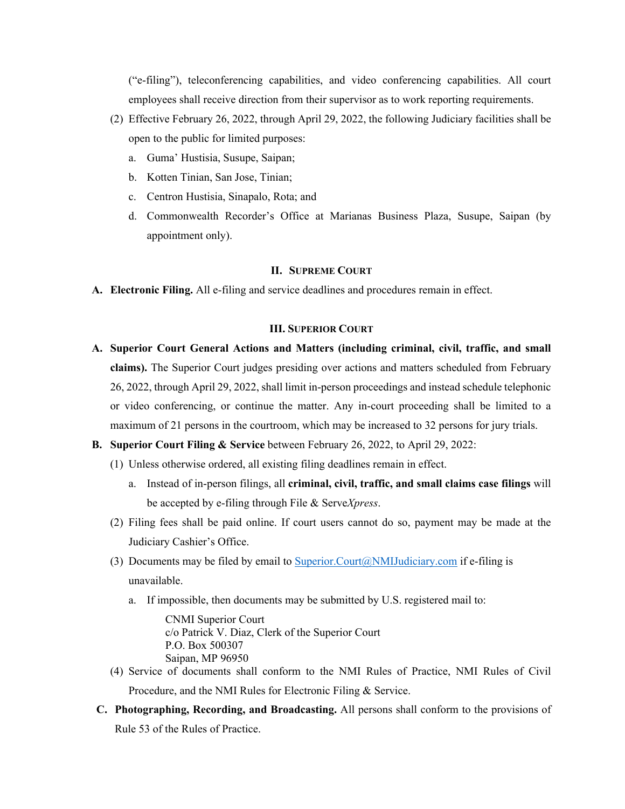("e-filing"), teleconferencing capabilities, and video conferencing capabilities. All court employees shall receive direction from their supervisor as to work reporting requirements.

- (2) Effective February 26, 2022, through April 29, 2022, the following Judiciary facilities shall be open to the public for limited purposes:
	- a. Guma' Hustisia, Susupe, Saipan;
	- b. Kotten Tinian, San Jose, Tinian;
	- c. Centron Hustisia, Sinapalo, Rota; and
	- d. Commonwealth Recorder's Office at Marianas Business Plaza, Susupe, Saipan (by appointment only).

### **II. SUPREME COURT**

**A. Electronic Filing.** All e-filing and service deadlines and procedures remain in effect.

### **III. SUPERIOR COURT**

- **A. Superior Court General Actions and Matters (including criminal, civil, traffic, and small claims).** The Superior Court judges presiding over actions and matters scheduled from February 26, 2022, through April 29, 2022, shall limit in-person proceedings and instead schedule telephonic or video conferencing, or continue the matter. Any in-court proceeding shall be limited to a maximum of 21 persons in the courtroom, which may be increased to 32 persons for jury trials.
- **B. Superior Court Filing & Service** between February 26, 2022, to April 29, 2022:
	- (1) Unless otherwise ordered, all existing filing deadlines remain in effect.
		- a. Instead of in-person filings, all **criminal, civil, traffic, and small claims case filings** will be accepted by e-filing through File & Serve*Xpress*.
	- (2) Filing fees shall be paid online. If court users cannot do so, payment may be made at the Judiciary Cashier's Office.
	- (3) Documents may be filed by email to [Superior.Court@NMIJudiciary.com](mailto:Superior.Court@nmijudiciary.com) if e-filing is unavailable.
		- a. If impossible, then documents may be submitted by U.S. registered mail to:

CNMI Superior Court c/o Patrick V. Diaz, Clerk of the Superior Court P.O. Box 500307 Saipan, MP 96950

- (4) Service of documents shall conform to the NMI Rules of Practice, NMI Rules of Civil Procedure, and the NMI Rules for Electronic Filing & Service.
- **C. Photographing, Recording, and Broadcasting.** All persons shall conform to the provisions of Rule 53 of the Rules of Practice.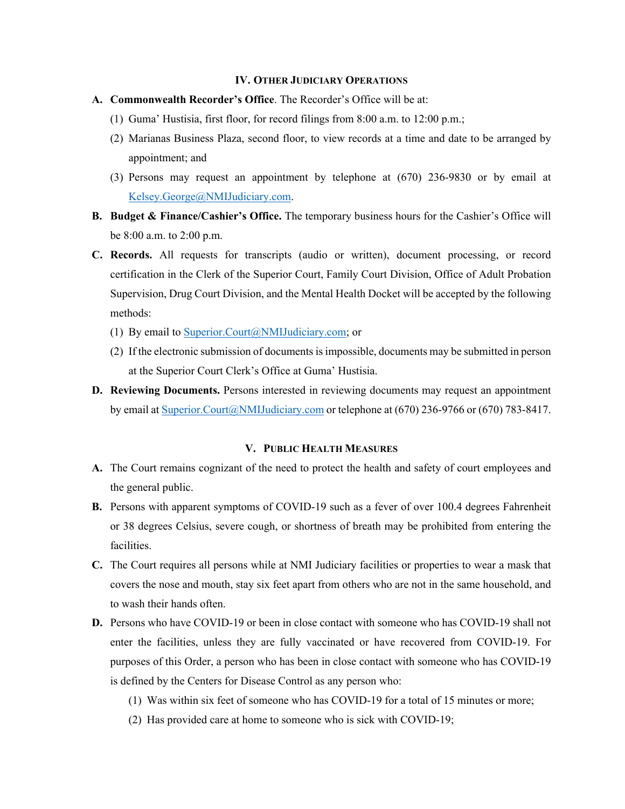#### **IV. OTHER JUDICIARY OPERATIONS**

- **A. Commonwealth Recorder's Office**. The Recorder's Office will be at:
	- (1) Guma' Hustisia, first floor, for record filings from 8:00 a.m. to 12:00 p.m.;
	- (2) Marianas Business Plaza, second floor, to view records at a time and date to be arranged by appointment; and
	- (3) Persons may request an appointment by telephone at (670) 236-9830 or by email at [Kelsey.George@NMIJudiciary.com](mailto:Kelsey.George@nmijudiciary.com).
- **B. Budget & Finance/Cashier's Office.** The temporary business hours for the Cashier's Office will be 8:00 a.m. to 2:00 p.m.
- **C. Records.** All requests for transcripts (audio or written), document processing, or record certification in the Clerk of the Superior Court, Family Court Division, Office of Adult Probation Supervision, Drug Court Division, and the Mental Health Docket will be accepted by the following methods:
	- (1) By email to [Superior.Court@NMIJudiciary.com](mailto:Superior.Court@nmijudiciary.com); or
	- (2) If the electronic submission of documents is impossible, documents may be submitted in person at the Superior Court Clerk's Office at Guma' Hustisia.
- **D. Reviewing Documents.** Persons interested in reviewing documents may request an appointment by email at [Superior.Court@NMIJudiciary.com](mailto:Superior.Court@nmijudiciary.com) or telephone at (670) 236-9766 or (670) 783-8417.

#### **V. PUBLIC HEALTH MEASURES**

- **A.** The Court remains cognizant of the need to protect the health and safety of court employees and the general public.
- **B.** Persons with apparent symptoms of COVID-19 such as a fever of over 100.4 degrees Fahrenheit or 38 degrees Celsius, severe cough, or shortness of breath may be prohibited from entering the facilities.
- **C.** The Court requires all persons while at NMI Judiciary facilities or properties to wear a mask that covers the nose and mouth, stay six feet apart from others who are not in the same household, and to wash their hands often.
- **D.** Persons who have COVID-19 or been in close contact with someone who has COVID-19 shall not enter the facilities, unless they are fully vaccinated or have recovered from COVID-19. For purposes of this Order, a person who has been in close contact with someone who has COVID-19 is defined by the Centers for Disease Control as any person who:
	- (1) Was within six feet of someone who has COVID-19 for a total of 15 minutes or more;
	- (2) Has provided care at home to someone who is sick with COVID-19;